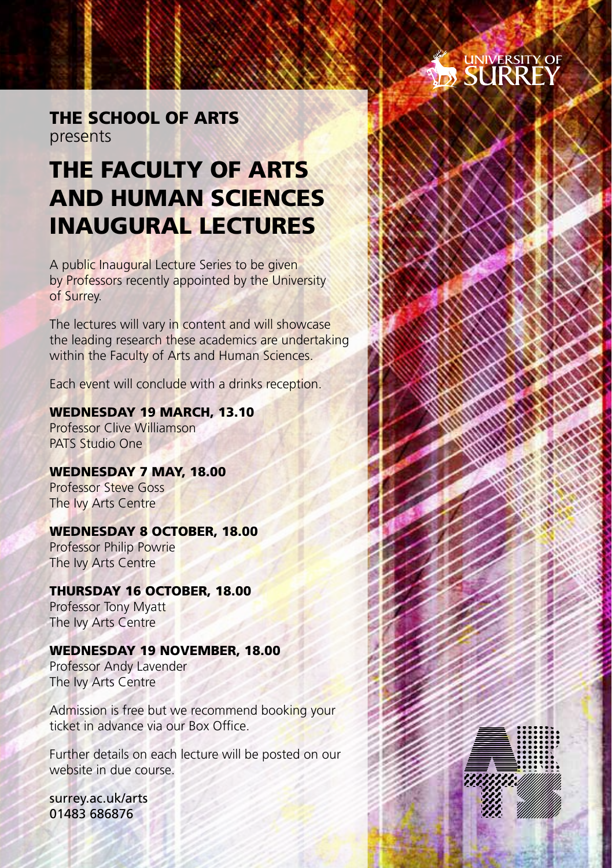# SURREY

**MANAGEMENT** 

### The School of Arts presents

## The Faculty of Arts and Human Sciences Inaugural Lectures

A public Inaugural Lecture Series to be given by Professors recently appointed by the University of Surrey.

The lectures will vary in content and will showcase the leading research these academics are undertaking within the Faculty of Arts and Human Sciences.

Each event will conclude with a drinks reception.

### Wednesday 19 March, 13.10

Professor Clive Williamson PATS Studio One

WEDNESDAY 7 MAY, 18.00 Professor Steve Goss The Ivy Arts Centre

### Wednesday 8 October, 18.00

Professor Philip Powrie The Ivy Arts Centre

### Thursday 16 October, 18.00

Professor Tony Myatt The Ivy Arts Centre

### Wednesday 19 November, 18.00

Professor Andy Lavender The Ivy Arts Centre

Admission is free but we recommend booking your ticket in advance via our Box Office.

Further details on each lecture will be posted on our website in due course.

surrey.ac.uk/arts 01483 686876